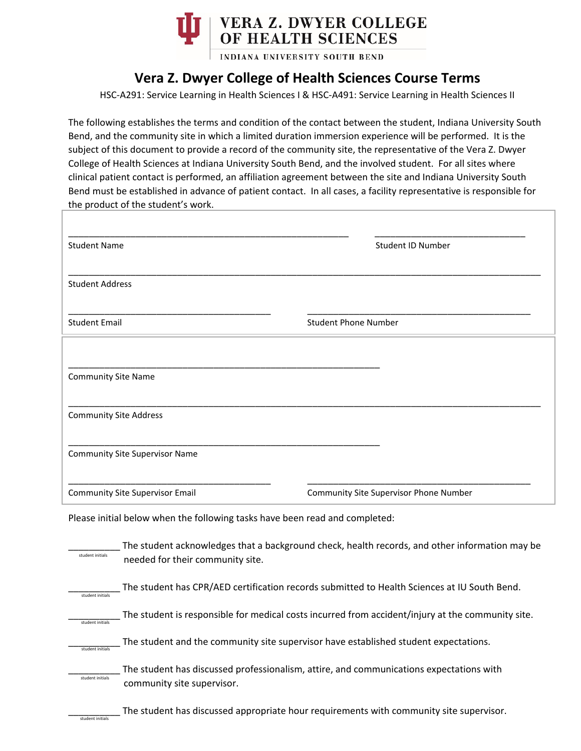

INDIANA UNIVERSITY SOUTH BEND

## **Vera Z. Dwyer College of Health Sciences Course Terms**

HSC-A291: Service Learning in Health Sciences I & HSC-A491: Service Learning in Health Sciences II

The following establishes the terms and condition of the contact between the student, Indiana University South Bend, and the community site in which a limited duration immersion experience will be performed. It is the subject of this document to provide a record of the community site, the representative of the Vera Z. Dwyer College of Health Sciences at Indiana University South Bend, and the involved student. For all sites where clinical patient contact is performed, an affiliation agreement between the site and Indiana University South Bend must be established in advance of patient contact. In all cases, a facility representative is responsible for the product of the student's work.

| <b>Student Name</b>                    | <b>Student ID Number</b>               |
|----------------------------------------|----------------------------------------|
| <b>Student Address</b>                 |                                        |
| <b>Student Email</b>                   | <b>Student Phone Number</b>            |
|                                        |                                        |
| <b>Community Site Name</b>             |                                        |
| <b>Community Site Address</b>          |                                        |
| <b>Community Site Supervisor Name</b>  |                                        |
| <b>Community Site Supervisor Email</b> | Community Site Supervisor Phone Number |

Please initial below when the following tasks have been read and completed:

| student initials | The student acknowledges that a background check, health records, and other information may be<br>needed for their community site. |
|------------------|------------------------------------------------------------------------------------------------------------------------------------|
| student initials | The student has CPR/AED certification records submitted to Health Sciences at IU South Bend.                                       |
| student initials | The student is responsible for medical costs incurred from accident/injury at the community site.                                  |
| student initial: | The student and the community site supervisor have established student expectations.                                               |
| student initials | The student has discussed professionalism, attire, and communications expectations with<br>community site supervisor.              |
| student initials | The student has discussed appropriate hour requirements with community site supervisor.                                            |